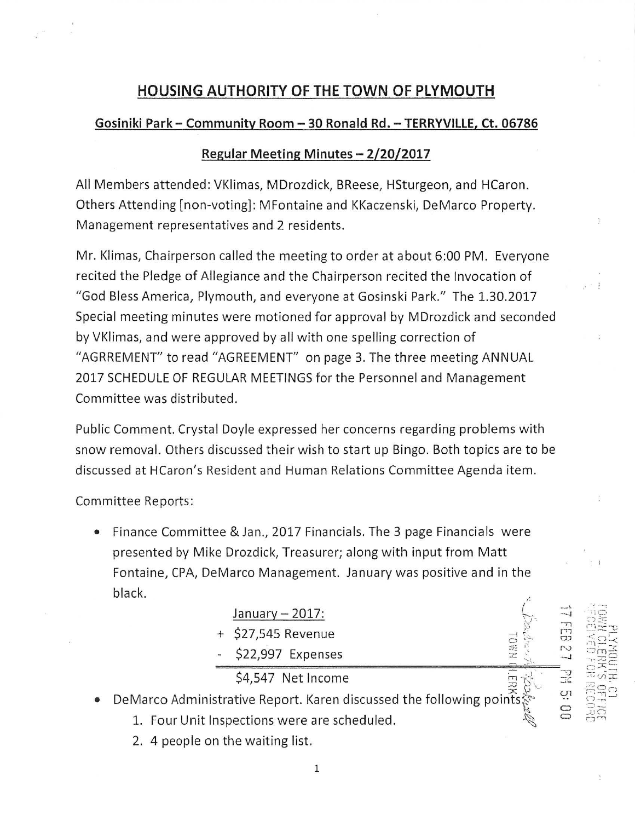## **HOUSING AUTHORITY OF THE TOWN OF PLYMOUTH**

## **Gosiniki Park- Community Room - 30 Ronald Rd. - TERRYVILLE, Ct. 06786**

## **Regular Meeting Minutes - 2/20/2017**

All Members attended: VKlimas, MDrozdick, BReese, HSturgeon, and HCaron. Others Attending [non-voting] : MFontaine and KKaczenski, DeMarco Property. Management representatives and 2 residents .

Mr. Klimas, Chairperson called the meeting to order at about 6:00 PM. Everyone recited the Pledge of Allegiance and the Chairperson recited the Invocation of "God Bless America, Plymouth, and everyone at Gosinski Park." The 1.30.2017 Special meeting minutes were motioned for approval by MDrozdick and seconded by VKlimas, and were approved by all with one spelling correction of "AGRREMENT" to read "AGREEMENT'' on page 3. The three meeting ANNUAL 2017 SCHEDULE OF REGULAR MEETINGS for the Personnel and Management Committee was distributed.

Public Comment. Crystal Doyle expressed her concerns regarding problems with snow removal. Others discussed their wish to start up Bingo. Both topics are to be discussed at HCaron's Resident and Human Relations Committee Agenda item.

Committee Reports:

• Finance Committee & Jan., 2017 Financials. The 3 page Financials were presented by Mike Drozdick, Treasurer; along with input from Matt Fontaine, CPA, DeMarco Management. January was positive and in the black.  $\overline{a}$ 

|           | black.                                                                                   |                    |    |        |                                     |
|-----------|------------------------------------------------------------------------------------------|--------------------|----|--------|-------------------------------------|
|           |                                                                                          | January $-2017$ :  |    |        | mo                                  |
|           |                                                                                          | + \$27,545 Revenue |    | 띥      | $7.5 - 1.0$<br>≤ຕ                   |
|           |                                                                                          | \$22,997 Expenses  |    | $\sim$ | $\blacksquare$<br>$\Box$ m<br>ਾਨ ਸਰ |
|           |                                                                                          | \$4,547 Net Income | 22 |        | ごろ                                  |
| $\bullet$ | DeMarco Administrative Report. Karen discussed the following points $\ddot{\mathcal{S}}$ |                    |    | Ö,     | 공유<br>$1 - r$                       |

 $\cdot$   $\cdot$ 

 $V \rightarrow \mathbb{R}^2$  ,  $\mathbb{R}^2$  ,  $\mathbb{R}^2$  ,  $\mathbb{R}^2$  ,  $\mathbb{R}^2$  ,  $\mathbb{R}^2$  ,  $\mathbb{R}^2$  ,  $\mathbb{R}^2$  ,  $\mathbb{R}^2$  ,  $\mathbb{R}^2$  ,  $\mathbb{R}^2$  ,  $\mathbb{R}^2$  ,  $\mathbb{R}^2$  ,  $\mathbb{R}^2$  ,  $\mathbb{R}^2$  ,  $\mathbb{R}^2$  ,  $\mathbb{R}^2$ 

 $\frac{1}{\mathbf{C}}$   $\frac{1}{\mathbf{C}}$  $\mathbb{R}$  **d**  $\Xi$   $\cong$  $\mathscr{C}$  or  $\mathbb{R}^n$ 

::~  $: \mathbb{R}^n \rightarrow \mathbb{R}^n$  $\Xi$  -  $\Xi$   $\Xi$   $\simeq$   $\Xi$   $\simeq$  $\overset{\text{\tiny (1)}}{\approx}$   $\overset{\text{\tiny (2)}}{\approx}$  $\sim$   $\sin$   $\ge$ -.J .,\_ <sup>C</sup> · .. .... ,\_\_, ::c: -·

- 1. Four Unit Inspections were are scheduled.
	- 2. 4 people on the waiting list.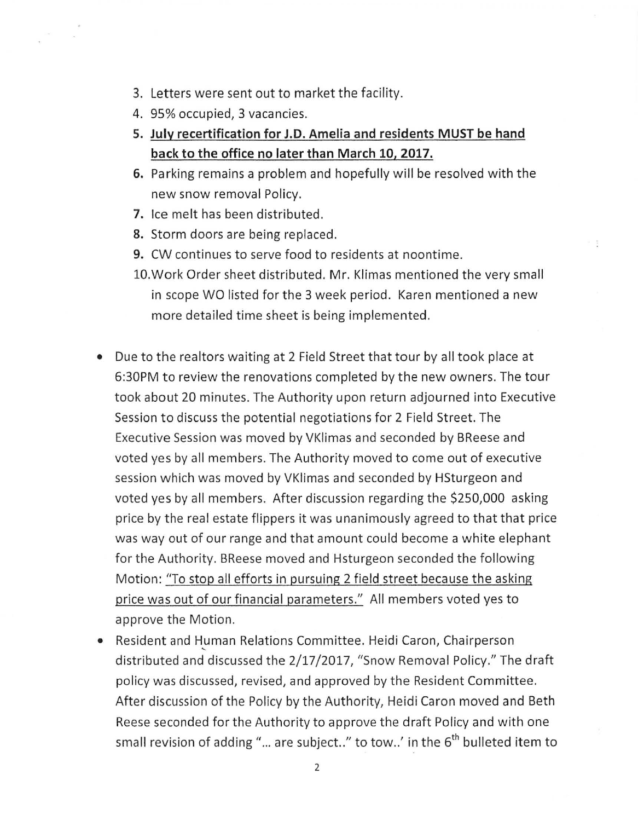- 3. Letters were sent out to market the facility.
- 4. 95% occupied, 3 vacancies.
- **5. July recertification for J.D. Amelia and residents MUST be hand back to the office no later than March 10, 2017.**
- **6.** Parking remains a problem and hopefully will be resolved with the new snow removal Policy.
- **7.** Ice melt has been distributed.
- 8. Storm doors are being replaced.
- **9.** CW continues to serve food to residents at noontime.
- 10.Work Order sheet distributed. Mr. Klimas mentioned the very small in scope WO listed for the 3 week period. Karen mentioned a new more detailed time sheet is being implemented.
- Due to the realtors waiting at 2 Field Street that tour by all took place at 6:30PM to review the renovations completed by the new owners. The tour took about 20 minutes. The Authority upon return adjourned into Executive Session to discuss the potential negotiations for 2 Field Street. The Executive Session was moved by VKlimas and seconded by BReese and voted yes by all members. The Authority moved to come out of executive session which was moved by VKlimas and seconded by HSturgeon and voted yes by all members. After discussion regarding the \$250,000 asking price by the real estate flippers it was unanimously agreed to that that price was way out of our range and that amount could become a white elephant for the Authority. BReese moved and Hsturgeon seconded the following Motion: "To stop all efforts in pursuing 2 field street because the asking price was out of our financial parameters." All members voted yes to approve the Motion.
- Resident and Human Relations Committee. Heidi Caron, Chairperson distributed and discussed the 2/17/2017, "Snow Removal Policy." The draft policy was discussed, revised, and approved by the Resident Committee. After discussion of the Policy by the Authority, Heidi Caron moved and Beth Reese seconded for the Authority to approve the draft Policy and with one small revision of adding "... are subject.." to tow..' in the  $6<sup>th</sup>$  bulleted item to

2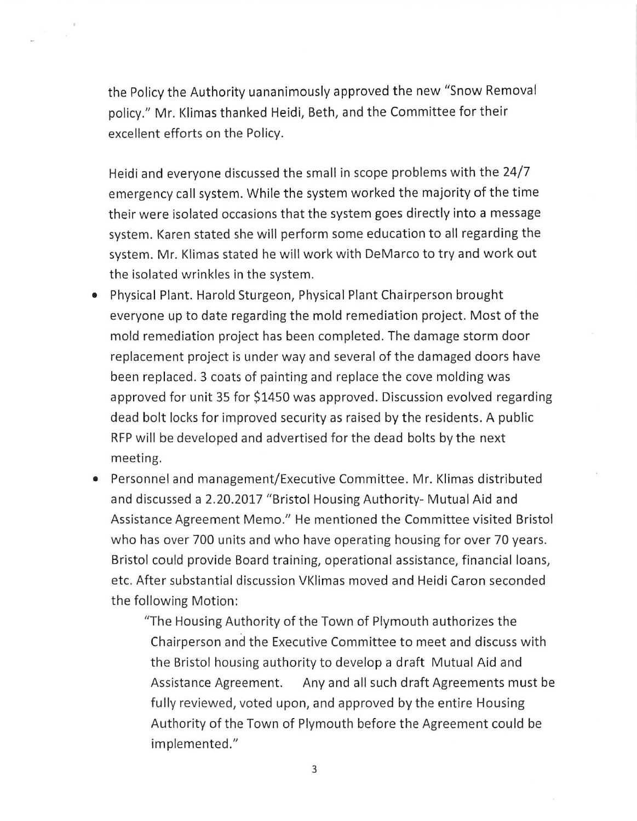the Policy the Authority uananimously approved the new "Snow Removal policy." Mr. Klimas thanked Heidi, Beth, and the Committee for their excellent efforts on the Policy.

Heidi and everyone discussed the small in scope problems with the 24/7 emergency call system. While the system worked the majority of the time their were isolated occasions that the system goes directly into a message system. Karen stated she will perform some education to all regarding the system. Mr. Klimas stated he will work with DeMarco to try and work out the isolated wrinkles in the system.

- Physical Plant. Harold Sturgeon, Physical Plant Chairperson brought everyone up to date regarding the mold remediation project. Most of the mold remediation project has been completed. The damage storm door replacement project is under way and several of the damaged doors have been replaced. 3 coats of painting and replace the cove molding was approved for unit 35 for \$1450 was approved. Discussion evolved regarding dead bolt locks for improved security as raised by the residents . A public RFP will be developed and advertised for the dead bolts by the next meeting.
- Personnel and management/Executive Committee. Mr. Klimas distributed and discussed a 2.20.2017 "Bristol Housing Authority- Mutual Aid and Assistance Agreement Memo." He mentioned the Committee visited Bristol who has over 700 units and who have operating housing for over 70 years. Bristol could provide Board training, operational assistance, financial loans, etc. After substantial discussion VKlimas moved and Heidi Caron seconded the following Motion:

"The Housing Authority of the Town of Plymouth authorizes the Chairperson and the Executive Committee to meet and discuss with the Bristol housing authority to develop a draft Mutual Aid and Assistance Agreement. Any and all such draft Agreements must be fully reviewed, voted upon, and approved by the entire Housing Authority of the Town of Plymouth before the Agreement could be implemented."

3